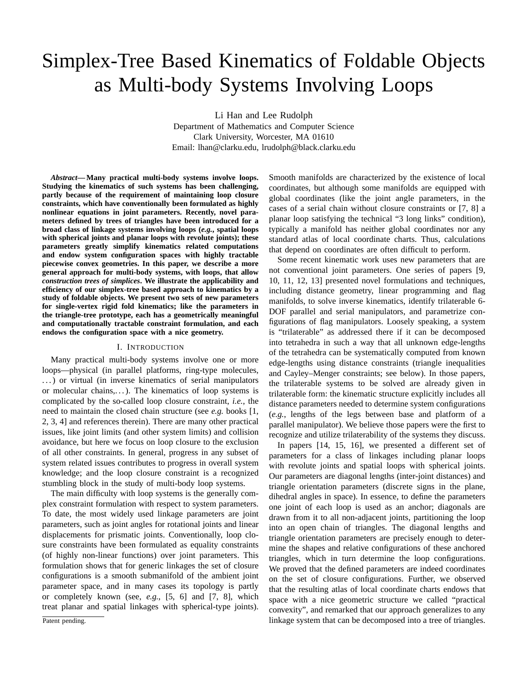# Simplex-Tree Based Kinematics of Foldable Objects as Multi-body Systems Involving Loops

Li Han and Lee Rudolph Department of Mathematics and Computer Science Clark University, Worcester, MA 01610 Email: lhan@clarku.edu, lrudolph@black.clarku.edu

*Abstract***— Many practical multi-body systems involve loops. Studying the kinematics of such systems has been challenging, partly because of the requirement of maintaining loop closure constraints, which have conventionally been formulated as highly nonlinear equations in joint parameters. Recently, novel parameters defined by trees of triangles have been introduced for a broad class of linkage systems involving loops (***e.g.***, spatial loops with spherical joints and planar loops with revolute joints); these parameters greatly simplify kinematics related computations and endow system configuration spaces with highly tractable piecewise convex geometries. In this paper, we describe a more general approach for multi-body systems, with loops, that allow** *construction trees of simplices***. We illustrate the applicability and efficiency of our simplex-tree based approach to kinematics by a study of foldable objects. We present two sets of new parameters for single-vertex rigid fold kinematics; like the parameters in the triangle-tree prototype, each has a geometrically meaningful and computationally tractable constraint formulation, and each endows the configuration space with a nice geometry.**

#### I. INTRODUCTION

Many practical multi-body systems involve one or more loops—physical (in parallel platforms, ring-type molecules, . . . ) or virtual (in inverse kinematics of serial manipulators or molecular chains,. . . ). The kinematics of loop systems is complicated by the so-called loop closure constraint, *i.e.*, the need to maintain the closed chain structure (see *e.g.* books [1, 2, 3, 4] and references therein). There are many other practical issues, like joint limits (and other system limits) and collision avoidance, but here we focus on loop closure to the exclusion of all other constraints. In general, progress in any subset of system related issues contributes to progress in overall system knowledge; and the loop closure constraint is a recognized stumbling block in the study of multi-body loop systems.

The main difficulty with loop systems is the generally complex constraint formulation with respect to system parameters. To date, the most widely used linkage parameters are joint parameters, such as joint angles for rotational joints and linear displacements for prismatic joints. Conventionally, loop closure constraints have been formulated as equality constraints (of highly non-linear functions) over joint parameters. This formulation shows that for generic linkages the set of closure configurations is a smooth submanifold of the ambient joint parameter space, and in many cases its topology is partly or completely known (see, *e.g.*, [5, 6] and [7, 8], which treat planar and spatial linkages with spherical-type joints).

Patent pending.

Smooth manifolds are characterized by the existence of local coordinates, but although some manifolds are equipped with global coordinates (like the joint angle parameters, in the cases of a serial chain without closure constraints or [7, 8] a planar loop satisfying the technical "3 long links" condition), typically a manifold has neither global coordinates nor any standard atlas of local coordinate charts. Thus, calculations that depend on coordinates are often difficult to perform.

Some recent kinematic work uses new parameters that are not conventional joint parameters. One series of papers [9, 10, 11, 12, 13] presented novel formulations and techniques, including distance geometry, linear programming and flag manifolds, to solve inverse kinematics, identify trilaterable 6- DOF parallel and serial manipulators, and parametrize configurations of flag manipulators. Loosely speaking, a system is "trilaterable" as addressed there if it can be decomposed into tetrahedra in such a way that all unknown edge-lengths of the tetrahedra can be systematically computed from known edge-lengths using distance constraints (triangle inequalities and Cayley–Menger constraints; see below). In those papers, the trilaterable systems to be solved are already given in trilaterable form: the kinematic structure explicitly includes all distance parameters needed to determine system configurations (*e.g.*, lengths of the legs between base and platform of a parallel manipulator). We believe those papers were the first to recognize and utilize trilaterability of the systems they discuss.

In papers [14, 15, 16], we presented a different set of parameters for a class of linkages including planar loops with revolute joints and spatial loops with spherical joints. Our parameters are diagonal lengths (inter-joint distances) and triangle orientation parameters (discrete signs in the plane, dihedral angles in space). In essence, to define the parameters one joint of each loop is used as an anchor; diagonals are drawn from it to all non-adjacent joints, partitioning the loop into an open chain of triangles. The diagonal lengths and triangle orientation parameters are precisely enough to determine the shapes and relative configurations of these anchored triangles, which in turn determine the loop configurations. We proved that the defined parameters are indeed coordinates on the set of closure configurations. Further, we observed that the resulting atlas of local coordinate charts endows that space with a nice geometric structure we called "practical convexity", and remarked that our approach generalizes to any linkage system that can be decomposed into a tree of triangles.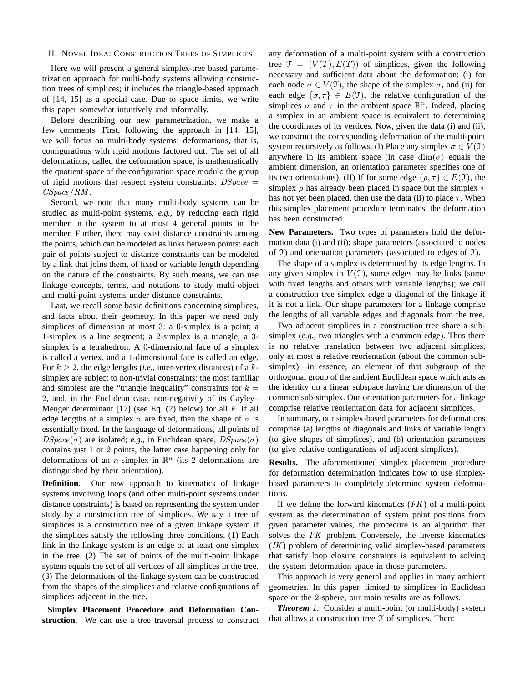#### II. NOVEL IDEA: CONSTRUCTION TREES OF SIMPLICES

Here we will present a general simplex-tree based parametrization approach for multi-body systems allowing construction trees of simplices; it includes the triangle-based approach of [14, 15] as a special case. Due to space limits, we write this paper somewhat intuitively and informally.

Before describing our new parametrization, we make a few comments. First, following the approach in [14, 15], we will focus on multi-body systems' deformations, that is, configurations with rigid motions factored out. The set of all deformations, called the deformation space, is mathematically the quotient space of the configuration space modulo the group of rigid motions that respect system constraints:  $DSpace =$ CSpace/RM .

Second, we note that many multi-body systems can be studied as multi-point systems, *e.g.*, by reducing each rigid member in the system to at most 4 general points in the member. Further, there may exist distance constraints among the points, which can be modeled as links between points: each pair of points subject to distance constraints can be modeled by a link that joins them, of fixed or variable length depending on the nature of the constraints. By such means, we can use linkage concepts, terms, and notations to study multi-object and multi-point systems under distance constraints.

Last, we recall some basic definitions concerning simplices, and facts about their geometry. In this paper we need only simplices of dimension at most 3: a 0-simplex is a point; a 1-simplex is a line segment; a 2-simplex is a triangle; a 3 simplex is a tetrahedron. A 0-dimensional face of a simplex is called a vertex, and a 1-dimensional face is called an edge. For  $k \geq 2$ , the edge lengths (*i.e.*, inter-vertex distances) of a ksimplex are subject to non-trivial constraints; the most familiar and simplest are the "triangle inequality" constraints for  $k =$ 2, and, in the Euclidean case, non-negativity of its Cayley– Menger determinant [17] (see Eq.  $(2)$  below) for all k. If all edge lengths of a simplex  $\sigma$  are fixed, then the shape of  $\sigma$  is essentially fixed. In the language of deformations, all points of  $DSpace(\sigma)$  are isolated; *e.g.*, in Euclidean space,  $DSpace(\sigma)$ contains just 1 or 2 points, the latter case happening only for deformations of an *n*-simplex in  $\mathbb{R}^n$  (its 2 deformations are distinguished by their orientation).

**Definition.** Our new approach to kinematics of linkage systems involving loops (and other multi-point systems under distance constraints) is based on representing the system under study by a construction tree of simplices. We say a tree of simplices is a construction tree of a given linkage system if the simplices satisfy the following three conditions. (1) Each link in the linkage system is an edge of at least one simplex in the tree. (2) The set of points of the multi-point linkage system equals the set of all vertices of all simplices in the tree. (3) The deformations of the linkage system can be constructed from the shapes of the simplices and relative configurations of simplices adjacent in the tree.

**Simplex Placement Procedure and Deformation Construction.** We can use a tree traversal process to construct any deformation of a multi-point system with a construction tree  $\mathcal{T} = (V(T), E(T))$  of simplices, given the following necessary and sufficient data about the deformation: (i) for each node  $\sigma \in V(\mathcal{T})$ , the shape of the simplex  $\sigma$ , and (ii) for each edge  $\{\sigma, \tau\} \in E(\mathcal{T})$ , the relative configuration of the simplices  $\sigma$  and  $\tau$  in the ambient space  $\mathbb{R}^n$ . Indeed, placing a simplex in an ambient space is equivalent to determining the coordinates of its vertices. Now, given the data (i) and (ii), we construct the corresponding deformation of the multi-point system recursively as follows. (I) Place any simplex  $\sigma \in V(\mathcal{T})$ anywhere in its ambient space (in case  $\dim(\sigma)$  equals the ambient dimension, an orientation parameter specifies one of its two orientations). (II) If for some edge  $\{\rho, \tau\} \in E(\mathcal{T})$ , the simplex  $\rho$  has already been placed in space but the simplex  $\tau$ has not yet been placed, then use the data (ii) to place  $\tau$ . When this simplex placement procedure terminates, the deformation has been constructed.

**New Parameters.** Two types of parameters hold the deformation data (i) and (ii): shape parameters (associated to nodes of T) and orientation parameters (associated to edges of T).

The shape of a simplex is determined by its edge lengths. In any given simplex in  $V(\mathcal{T})$ , some edges may be links (some with fixed lengths and others with variable lengths); we call a construction tree simplex edge a diagonal of the linkage if it is not a link. Our shape parameters for a linkage comprise the lengths of all variable edges and diagonals from the tree.

Two adjacent simplices in a construction tree share a subsimplex (*e.g.*, two triangles with a common edge). Thus there is no relative translation between two adjacent simplices, only at most a relative reorientation (about the common subsimplex)—in essence, an element of that subgroup of the orthogonal group of the ambient Euclidean space which acts as the identity on a linear subspace having the dimension of the common sub-simplex. Our orientation parameters for a linkage comprise relative reorientation data for adjacent simplices.

In summary, our simplex-based parameters for deformations comprise (a) lengths of diagonals and links of variable length (to give shapes of simplices), and (b) orientation parameters (to give relative configurations of adjacent simplices).

**Results.** The aforementioned simplex placement procedure for deformation determination indicates how to use simplexbased parameters to completely determine system deformations.

If we define the forward kinematics  $(FK)$  of a multi-point system as the determination of system point positions from given parameter values, the procedure is an algorithm that solves the FK problem. Conversely, the inverse kinematics (IK) problem of determining valid simplex-based parameters that satisfy loop closure constraints is equivalent to solving the system deformation space in those parameters.

This approach is very general and applies in many ambient geometries. In this paper, limited to simplices in Euclidean space or the 2-sphere, our main results are as follows.

*Theorem 1:* Consider a multi-point (or multi-body) system that allows a construction tree  $T$  of simplices. Then: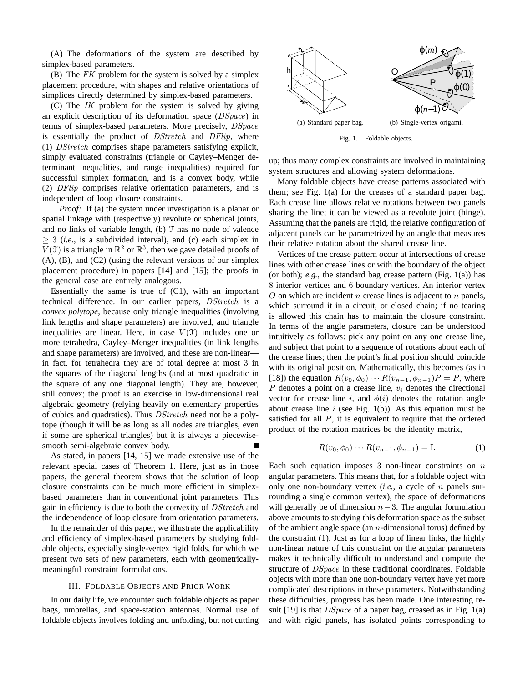(A) The deformations of the system are described by simplex-based parameters.

(B) The  $FK$  problem for the system is solved by a simplex placement procedure, with shapes and relative orientations of simplices directly determined by simplex-based parameters.

(C) The IK problem for the system is solved by giving an explicit description of its deformation space (DSpace) in terms of simplex-based parameters. More precisely, DSpace is essentially the product of DStretch and DFlip, where (1) DStretch comprises shape parameters satisfying explicit, simply evaluated constraints (triangle or Cayley–Menger determinant inequalities, and range inequalities) required for successful simplex formation, and is a convex body, while (2) DFlip comprises relative orientation parameters, and is independent of loop closure constraints.

*Proof:* If (a) the system under investigation is a planar or spatial linkage with (respectively) revolute or spherical joints, and no links of variable length, (b) T has no node of valence ≥ 3 (*i.e.*, is a subdivided interval), and (c) each simplex in  $V(\mathfrak{I})$  is a triangle in  $\mathbb{R}^2$  or  $\mathbb{R}^3$ , then we gave detailed proofs of (A), (B), and (C2) (using the relevant versions of our simplex placement procedure) in papers [14] and [15]; the proofs in the general case are entirely analogous.

Essentially the same is true of  $(C1)$ , with an important technical difference. In our earlier papers, DStretch is a *convex polytope*, because only triangle inequalities (involving link lengths and shape parameters) are involved, and triangle inequalities are linear. Here, in case  $V(\mathcal{T})$  includes one or more tetrahedra, Cayley–Menger inequalities (in link lengths and shape parameters) are involved, and these are non-linear in fact, for tetrahedra they are of total degree at most 3 in the squares of the diagonal lengths (and at most quadratic in the square of any one diagonal length). They are, however, still convex; the proof is an exercise in low-dimensional real algebraic geometry (relying heavily on elementary properties of cubics and quadratics). Thus DStretch need not be a polytope (though it will be as long as all nodes are triangles, even if some are spherical triangles) but it is always a piecewisesmooth semi-algebraic convex body.

As stated, in papers [14, 15] we made extensive use of the relevant special cases of Theorem 1. Here, just as in those papers, the general theorem shows that the solution of loop closure constraints can be much more efficient in simplexbased parameters than in conventional joint parameters. This gain in efficiency is due to both the convexity of DStretch and the independence of loop closure from orientation parameters.

In the remainder of this paper, we illustrate the applicability and efficiency of simplex-based parameters by studying foldable objects, especially single-vertex rigid folds, for which we present two sets of new parameters, each with geometricallymeaningful constraint formulations.

## III. FOLDABLE OBJECTS AND PRIOR WORK

In our daily life, we encounter such foldable objects as paper bags, umbrellas, and space-station antennas. Normal use of foldable objects involves folding and unfolding, but not cutting



Fig. 1. Foldable objects.

up; thus many complex constraints are involved in maintaining system structures and allowing system deformations.

Many foldable objects have crease patterns associated with them; see Fig. 1(a) for the creases of a standard paper bag. Each crease line allows relative rotations between two panels sharing the line; it can be viewed as a revolute joint (hinge). Assuming that the panels are rigid, the relative configuration of adjacent panels can be parametrized by an angle that measures their relative rotation about the shared crease line.

Vertices of the crease pattern occur at intersections of crease lines with other crease lines or with the boundary of the object (or both); *e.g.*, the standard bag crease pattern (Fig. 1(a)) has 8 interior vertices and 6 boundary vertices. An interior vertex  $O$  on which are incident  $n$  crease lines is adjacent to  $n$  panels, which surround it in a circuit, or closed chain; if no tearing is allowed this chain has to maintain the closure constraint. In terms of the angle parameters, closure can be understood intuitively as follows: pick any point on any one crease line, and subject that point to a sequence of rotations about each of the crease lines; then the point's final position should coincide with its original position. Mathematically, this becomes (as in [18]) the equation  $R(v_0, \phi_0) \cdots R(v_{n-1}, \phi_{n-1})P = P$ , where P denotes a point on a crease line,  $v_i$  denotes the directional vector for crease line i, and  $\phi(i)$  denotes the rotation angle about crease line i (see Fig. 1(b)). As this equation must be satisfied for all  $P$ , it is equivalent to require that the ordered product of the rotation matrices be the identity matrix,

$$
R(v_0, \phi_0) \cdots R(v_{n-1}, \phi_{n-1}) = I.
$$
 (1)

Each such equation imposes 3 non-linear constraints on  $n$ angular parameters. This means that, for a foldable object with only one non-boundary vertex (*i.e.*, a cycle of n panels surrounding a single common vertex), the space of deformations will generally be of dimension  $n-3$ . The angular formulation above amounts to studying this deformation space as the subset of the ambient angle space (an  $n$ -dimensional torus) defined by the constraint (1). Just as for a loop of linear links, the highly non-linear nature of this constraint on the angular parameters makes it technically difficult to understand and compute the structure of DSpace in these traditional coordinates. Foldable objects with more than one non-boundary vertex have yet more complicated descriptions in these parameters. Notwithstanding these difficulties, progress has been made. One interesting result [19] is that *DSpace* of a paper bag, creased as in Fig. 1(a) and with rigid panels, has isolated points corresponding to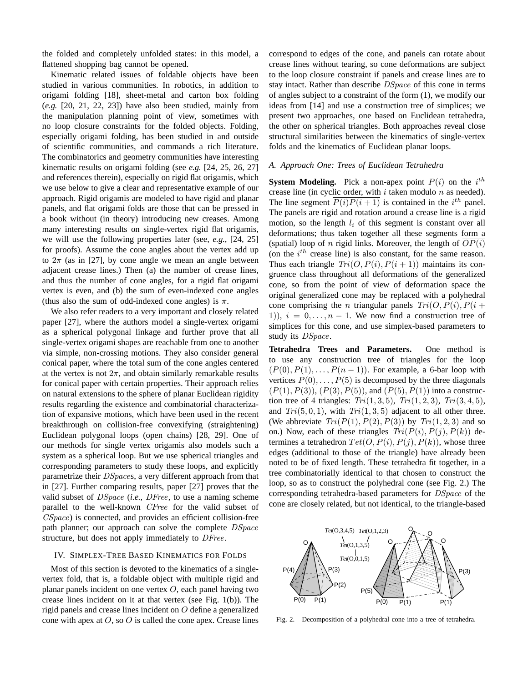the folded and completely unfolded states: in this model, a flattened shopping bag cannot be opened.

Kinematic related issues of foldable objects have been studied in various communities. In robotics, in addition to origami folding [18], sheet-metal and carton box folding (*e.g.* [20, 21, 22, 23]) have also been studied, mainly from the manipulation planning point of view, sometimes with no loop closure constraints for the folded objects. Folding, especially origami folding, has been studied in and outside of scientific communities, and commands a rich literature. The combinatorics and geometry communities have interesting kinematic results on origami folding (see *e.g.* [24, 25, 26, 27] and references therein), especially on rigid flat origamis, which we use below to give a clear and representative example of our approach. Rigid origamis are modeled to have rigid and planar panels, and flat origami folds are those that can be pressed in a book without (in theory) introducing new creases. Among many interesting results on single-vertex rigid flat origamis, we will use the following properties later (see, *e.g.*, [24, 25] for proofs). Assume the cone angles about the vertex add up to  $2\pi$  (as in [27], by cone angle we mean an angle between adjacent crease lines.) Then (a) the number of crease lines, and thus the number of cone angles, for a rigid flat origami vertex is even, and (b) the sum of even-indexed cone angles (thus also the sum of odd-indexed cone angles) is  $\pi$ .

We also refer readers to a very important and closely related paper [27], where the authors model a single-vertex origami as a spherical polygonal linkage and further prove that all single-vertex origami shapes are reachable from one to another via simple, non-crossing motions. They also consider general conical paper, where the total sum of the cone angles centered at the vertex is not  $2\pi$ , and obtain similarly remarkable results for conical paper with certain properties. Their approach relies on natural extensions to the sphere of planar Euclidean rigidity results regarding the existence and combinatorial characterization of expansive motions, which have been used in the recent breakthrough on collision-free convexifying (straightening) Euclidean polygonal loops (open chains) [28, 29]. One of our methods for single vertex origamis also models such a system as a spherical loop. But we use spherical triangles and corresponding parameters to study these loops, and explicitly parametrize their *DSpaces*, a very different approach from that in [27]. Further comparing results, paper [27] proves that the valid subset of DSpace (*i.e.*, DFree, to use a naming scheme parallel to the well-known CFree for the valid subset of CSpace) is connected, and provides an efficient collision-free path planner; our approach can solve the complete *DSpace* structure, but does not apply immediately to DFree.

## IV. SIMPLEX-TREE BASED KINEMATICS FOR FOLDS

Most of this section is devoted to the kinematics of a singlevertex fold, that is, a foldable object with multiple rigid and planar panels incident on one vertex  $O$ , each panel having two crease lines incident on it at that vertex (see Fig. 1(b)). The rigid panels and crease lines incident on O define a generalized cone with apex at  $O$ , so  $O$  is called the cone apex. Crease lines correspond to edges of the cone, and panels can rotate about crease lines without tearing, so cone deformations are subject to the loop closure constraint if panels and crease lines are to stay intact. Rather than describe DSpace of this cone in terms of angles subject to a constraint of the form (1), we modify our ideas from [14] and use a construction tree of simplices; we present two approaches, one based on Euclidean tetrahedra, the other on spherical triangles. Both approaches reveal close structural similarities between the kinematics of single-vertex folds and the kinematics of Euclidean planar loops.

### *A. Approach One: Trees of Euclidean Tetrahedra*

**System Modeling.** Pick a non-apex point  $P(i)$  on the  $i^{th}$ crease line (in cyclic order, with  $i$  taken modulo  $n$  as needed). The line segment  $\overline{P(i)P(i+1)}$  is contained in the  $i^{th}$  panel. The panels are rigid and rotation around a crease line is a rigid motion, so the length  $l_i$  of this segment is constant over all deformations; thus taken together all these segments form a (spatial) loop of n rigid links. Moreover, the length of  $\overline{OP(i)}$ (on the  $i^{th}$  crease line) is also constant, for the same reason. Thus each triangle  $Tri(O, P(i), P(i + 1))$  maintains its congruence class throughout all deformations of the generalized cone, so from the point of view of deformation space the original generalized cone may be replaced with a polyhedral cone comprising the *n* triangular panels  $Tri(O, P(i), P(i +$ 1)),  $i = 0, \ldots, n - 1$ . We now find a construction tree of simplices for this cone, and use simplex-based parameters to study its DSpace.

**Tetrahedra Trees and Parameters.** One method is to use any construction tree of triangles for the loop  $(P(0), P(1), \ldots, P(n-1))$ . For example, a 6-bar loop with vertices  $P(0), \ldots, P(5)$  is decomposed by the three diagonals  $(P(1), P(3)), (P(3), P(5))$ , and  $(P(5), P(1))$  into a construction tree of 4 triangles:  $Tri(1, 3, 5), Tri(1, 2, 3), Tri(3, 4, 5),$ and  $Tri(5, 0, 1)$ , with  $Tri(1, 3, 5)$  adjacent to all other three. (We abbreviate  $Tri(P(1), P(2), P(3))$  by  $Tri(1, 2, 3)$  and so on.) Now, each of these triangles  $Tri(P(i), P(j), P(k))$  determines a tetrahedron  $Tet(O, P(i), P(j), P(k))$ , whose three edges (additional to those of the triangle) have already been noted to be of fixed length. These tetrahedra fit together, in a tree combinatorially identical to that chosen to construct the loop, so as to construct the polyhedral cone (see Fig. 2.) The corresponding tetrahedra-based parameters for *DSpace* of the cone are closely related, but not identical, to the triangle-based



Fig. 2. Decomposition of a polyhedral cone into a tree of tetrahedra.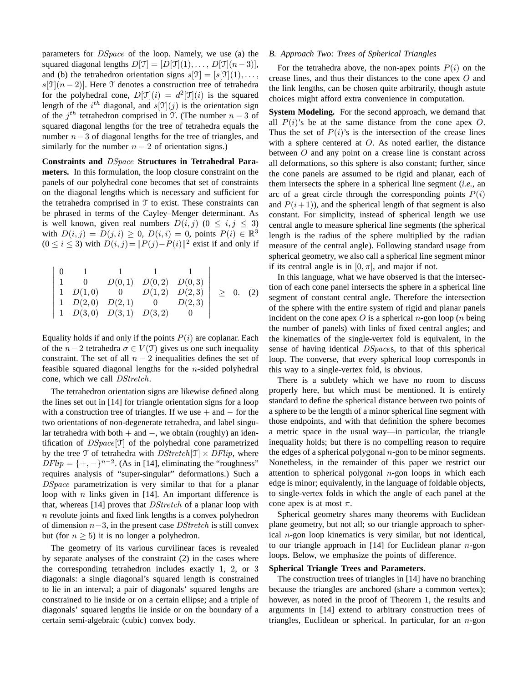parameters for DSpace of the loop. Namely, we use (a) the squared diagonal lengths  $D[\mathfrak{T}] = [D[\mathfrak{T}](1), \ldots, D[\mathfrak{T}](n-3)],$ and (b) the tetrahedron orientation signs  $s[\mathfrak{T}] = [s[\mathfrak{T}](1), \ldots,$ s[T](n – 2)]. Here T denotes a construction tree of tetrahedra for the polyhedral cone,  $D[\mathcal{T}](i) = d^2[\mathcal{T}](i)$  is the squared length of the  $i^{th}$  diagonal, and  $s[\mathfrak{T}](j)$  is the orientation sign of the  $j^{th}$  tetrahedron comprised in T. (The number  $n-3$  of squared diagonal lengths for the tree of tetrahedra equals the number  $n-3$  of diagonal lengths for the tree of triangles, and similarly for the number  $n - 2$  of orientation signs.)

**Constraints and** DSpace **Structures in Tetrahedral Parameters.** In this formulation, the loop closure constraint on the panels of our polyhedral cone becomes that set of constraints on the diagonal lengths which is necessary and sufficient for the tetrahedra comprised in  $T$  to exist. These constraints can be phrased in terms of the Cayley–Menger determinant. As is well known, given real numbers  $D(i, j)$   $(0 \le i, j \le 3)$ with  $D(i, j) = D(j, i) \geq 0$ ,  $D(i, i) = 0$ , points  $P(i) \in \mathbb{R}^3$  $(0 \le i \le 3)$  with  $D(i, j) = ||P(j) - P(i)||^2$  exist if and only if

$$
\begin{vmatrix}\n0 & 1 & 1 & 1 & 1 \\
1 & 0 & D(0,1) & D(0,2) & D(0,3) \\
1 & D(1,0) & 0 & D(1,2) & D(2,3) \\
1 & D(2,0) & D(2,1) & 0 & D(2,3) \\
1 & D(3,0) & D(3,1) & D(3,2) & 0\n\end{vmatrix} \geq 0.
$$
 (2)

Equality holds if and only if the points  $P(i)$  are coplanar. Each of the  $n-2$  tetrahedra  $\sigma \in V(\mathfrak{T})$  gives us one such inequality constraint. The set of all  $n-2$  inequalities defines the set of feasible squared diagonal lengths for the  $n$ -sided polyhedral cone, which we call DStretch.

The tetrahedron orientation signs are likewise defined along the lines set out in [14] for triangle orientation signs for a loop with a construction tree of triangles. If we use  $+$  and  $-$  for the two orientations of non-degenerate tetrahedra, and label singular tetrahedra with both  $+$  and  $-$ , we obtain (roughly) an identification of  $DSpace[\mathcal{T}]$  of the polyhedral cone parametrized by the tree T of tetrahedra with  $DStretch$ [T]  $\times DFlip$ , where  $DFlip = \{+, -\}^{n-2}$ . (As in [14], eliminating the "roughness" requires analysis of "super-singular" deformations.) Such a DSpace parametrization is very similar to that for a planar loop with  $n$  links given in [14]. An important difference is that, whereas [14] proves that DStretch of a planar loop with  $n$  revolute joints and fixed link lengths is a convex polyhedron of dimension  $n-3$ , in the present case DStretch is still convex but (for  $n \geq 5$ ) it is no longer a polyhedron.

The geometry of its various curvilinear faces is revealed by separate analyses of the constraint (2) in the cases where the corresponding tetrahedron includes exactly 1, 2, or 3 diagonals: a single diagonal's squared length is constrained to lie in an interval; a pair of diagonals' squared lengths are constrained to lie inside or on a certain ellipse; and a triple of diagonals' squared lengths lie inside or on the boundary of a certain semi-algebraic (cubic) convex body.

#### *B. Approach Two: Trees of Spherical Triangles*

For the tetrahedra above, the non-apex points  $P(i)$  on the crease lines, and thus their distances to the cone apex O and the link lengths, can be chosen quite arbitrarily, though astute choices might afford extra convenience in computation.

**System Modeling.** For the second approach, we demand that all  $P(i)$ 's be at the same distance from the cone apex O. Thus the set of  $P(i)$ 's is the intersection of the crease lines with a sphere centered at O. As noted earlier, the distance between O and any point on a crease line is constant across all deformations, so this sphere is also constant; further, since the cone panels are assumed to be rigid and planar, each of them intersects the sphere in a spherical line segment (*i.e.*, an arc of a great circle through the corresponding points  $P(i)$ and  $P(i+1)$ , and the spherical length of that segment is also constant. For simplicity, instead of spherical length we use central angle to measure spherical line segments (the spherical length is the radius of the sphere multiplied by the radian measure of the central angle). Following standard usage from spherical geometry, we also call a spherical line segment minor if its central angle is in  $[0, \pi]$ , and major if not.

In this language, what we have observed is that the intersection of each cone panel intersects the sphere in a spherical line segment of constant central angle. Therefore the intersection of the sphere with the entire system of rigid and planar panels incident on the cone apex  $O$  is a spherical *n*-gon loop (*n* being the number of panels) with links of fixed central angles; and the kinematics of the single-vertex fold is equivalent, in the sense of having identical DSpaces, to that of this spherical loop. The converse, that every spherical loop corresponds in this way to a single-vertex fold, is obvious.

There is a subtlety which we have no room to discuss properly here, but which must be mentioned. It is entirely standard to define the spherical distance between two points of a sphere to be the length of a minor spherical line segment with those endpoints, and with that definition the sphere becomes a metric space in the usual way—in particular, the triangle inequality holds; but there is no compelling reason to require the edges of a spherical polygonal  $n$ -gon to be minor segments. Nonetheless, in the remainder of this paper we restrict our attention to spherical polygonal  $n$ -gon loops in which each edge is minor; equivalently, in the language of foldable objects, to single-vertex folds in which the angle of each panel at the cone apex is at most  $\pi$ .

Spherical geometry shares many theorems with Euclidean plane geometry, but not all; so our triangle approach to spherical n-gon loop kinematics is very similar, but not identical, to our triangle approach in  $[14]$  for Euclidean planar *n*-gon loops. Below, we emphasize the points of difference.

## **Spherical Triangle Trees and Parameters.**

The construction trees of triangles in [14] have no branching because the triangles are anchored (share a common vertex); however, as noted in the proof of Theorem 1, the results and arguments in [14] extend to arbitrary construction trees of triangles, Euclidean or spherical. In particular, for an  $n$ -gon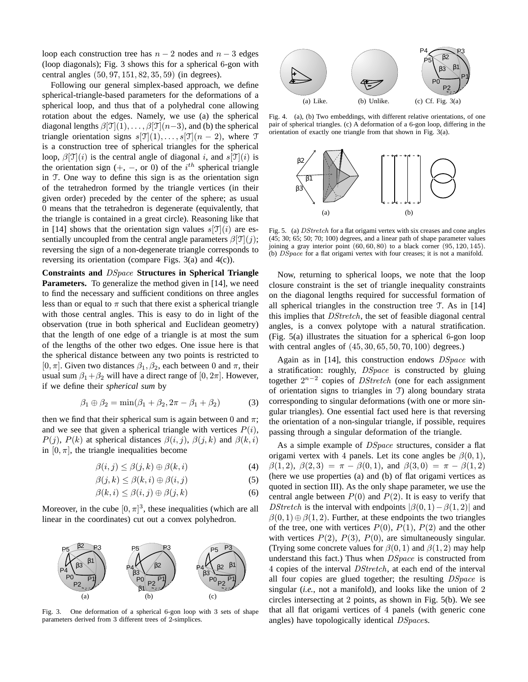loop each construction tree has  $n-2$  nodes and  $n-3$  edges (loop diagonals); Fig. 3 shows this for a spherical 6-gon with central angles (50, 97, 151, 82, 35, 59) (in degrees).

Following our general simplex-based approach, we define spherical-triangle-based parameters for the deformations of a spherical loop, and thus that of a polyhedral cone allowing rotation about the edges. Namely, we use (a) the spherical diagonal lengths  $\beta[\mathcal{T}](1), \ldots, \beta[\mathcal{T}](n-3)$ , and (b) the spherical triangle orientation signs  $s[\mathfrak{T}](1), \ldots, s[\mathfrak{T}](n-2)$ , where  $\mathfrak{T}$ is a construction tree of spherical triangles for the spherical loop,  $\beta[\mathcal{T}](i)$  is the central angle of diagonal i, and  $s[\mathcal{T}](i)$  is the orientation sign (+, -, or 0) of the  $i^{th}$  spherical triangle in T. One way to define this sign is as the orientation sign of the tetrahedron formed by the triangle vertices (in their given order) preceded by the center of the sphere; as usual 0 means that the tetrahedron is degenerate (equivalently, that the triangle is contained in a great circle). Reasoning like that in [14] shows that the orientation sign values  $s[\mathcal{T}](i)$  are essentially uncoupled from the central angle parameters  $\beta[\mathfrak{T}](j)$ ; reversing the sign of a non-degenerate triangle corresponds to reversing its orientation (compare Figs. 3(a) and 4(c)).

**Constraints and** DSpace **Structures in Spherical Triangle** Parameters. To generalize the method given in [14], we need to find the necessary and sufficient conditions on three angles less than or equal to  $\pi$  such that there exist a spherical triangle with those central angles. This is easy to do in light of the observation (true in both spherical and Euclidean geometry) that the length of one edge of a triangle is at most the sum of the lengths of the other two edges. One issue here is that the spherical distance between any two points is restricted to [0,  $\pi$ ]. Given two distances  $\beta_1$ ,  $\beta_2$ , each between 0 and  $\pi$ , their usual sum  $\beta_1 + \beta_2$  will have a direct range of [0,  $2\pi$ ]. However, if we define their *spherical sum* by

$$
\beta_1 \oplus \beta_2 = \min(\beta_1 + \beta_2, 2\pi - \beta_1 + \beta_2) \tag{3}
$$

then we find that their spherical sum is again between 0 and  $\pi$ ; and we see that given a spherical triangle with vertices  $P(i)$ ,  $P(j)$ ,  $P(k)$  at spherical distances  $\beta(i, j)$ ,  $\beta(j, k)$  and  $\beta(k, i)$ in  $[0, \pi]$ , the triangle inequalities become

$$
\beta(i,j) \le \beta(j,k) \oplus \beta(k,i) \tag{4}
$$

$$
\beta(j,k) \le \beta(k,i) \oplus \beta(i,j) \tag{5}
$$

$$
\beta(k, i) \le \beta(i, j) \oplus \beta(j, k) \tag{6}
$$

Moreover, in the cube  $[0, \pi]^3$ , these inequalities (which are all linear in the coordinates) cut out a convex polyhedron.



Fig. 3. One deformation of a spherical 6-gon loop with 3 sets of shape parameters derived from 3 different trees of 2-simplices.



Fig. 4. (a), (b) Two embeddings, with different relative orientations, of one pair of spherical triangles. (c) A deformation of a 6-gon loop, differing in the orientation of exactly one triangle from that shown in Fig. 3(a).



Fig. 5. (a) *DStretch* for a flat origami vertex with six creases and cone angles (45; 30; 65; 50; 70; 100) degrees, and a linear path of shape parameter values joining a gray interior point  $(60, 60, 80)$  to a black corner  $(95, 120, 145)$ . (b) DSpace for a flat origami vertex with four creases; it is not a manifold.

Now, returning to spherical loops, we note that the loop closure constraint is the set of triangle inequality constraints on the diagonal lengths required for successful formation of all spherical triangles in the construction tree T. As in [14] this implies that *DStretch*, the set of feasible diagonal central angles, is a convex polytope with a natural stratification. (Fig. 5(a) illustrates the situation for a spherical 6-gon loop with central angles of (45, 30, 65, 50, 70, 100) degrees.)

Again as in [14], this construction endows DSpace with a stratification: roughly, DSpace is constructed by gluing together  $2^{n-2}$  copies of *DStretch* (one for each assignment of orientation signs to triangles in T) along boundary strata corresponding to singular deformations (with one or more singular triangles). One essential fact used here is that reversing the orientation of a non-singular triangle, if possible, requires passing through a singular deformation of the triangle.

As a simple example of *DSpace* structures, consider a flat origami vertex with 4 panels. Let its cone angles be  $\beta(0,1)$ ,  $\beta(1, 2), \ \beta(2, 3) = \pi - \beta(0, 1), \text{ and } \beta(3, 0) = \pi - \beta(1, 2)$ (here we use properties (a) and (b) of flat origami vertices as quoted in section III). As the only shape parameter, we use the central angle between  $P(0)$  and  $P(2)$ . It is easy to verify that DStretch is the interval with endpoints  $\left|\beta(0,1)-\beta(1,2)\right|$  and  $\beta(0, 1) \oplus \beta(1, 2)$ . Further, at these endpoints the two triangles of the tree, one with vertices  $P(0)$ ,  $P(1)$ ,  $P(2)$  and the other with vertices  $P(2)$ ,  $P(3)$ ,  $P(0)$ , are simultaneously singular. (Trying some concrete values for  $\beta(0,1)$  and  $\beta(1,2)$  may help understand this fact.) Thus when *DSpace* is constructed from 4 copies of the interval DStretch, at each end of the interval all four copies are glued together; the resulting *DSpace* is singular (*i.e.*, not a manifold), and looks like the union of 2 circles intersecting at 2 points, as shown in Fig. 5(b). We see that all flat origami vertices of 4 panels (with generic cone angles) have topologically identical DSpaces.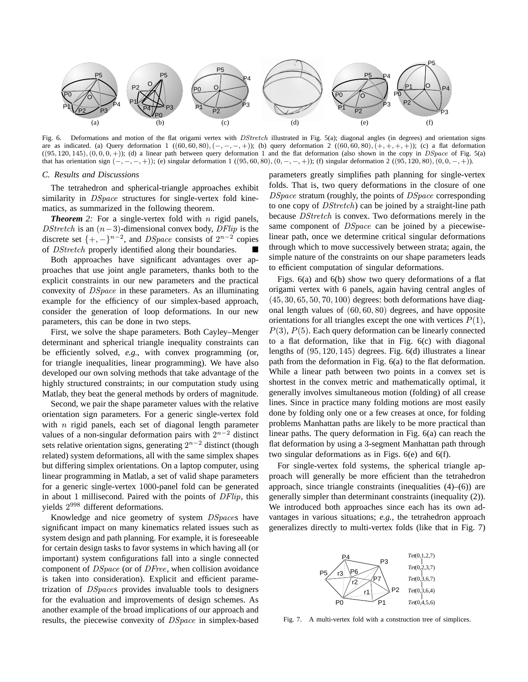

Fig. 6. Deformations and motion of the flat origami vertex with *DStretch* illustrated in Fig. 5(a); diagonal angles (in degrees) and orientation signs are as indicated. (a) Query deformation 1 ((60, 60, 80), (-,-,-,+)); (b) query deformation 2 ((60, 60, 80),  $(+, +, +, +)$ ); (c) a flat deformation  $((95, 120, 145), (0, 0, 0, +))$ ; (d) a linear path between query deformation 1 and the flat deformation (also shown in the copy in DSpace of Fig. 5(a) that has orientation sign  $(-,-,-,+)$ ; (e) singular deformation 1 ((95, 60, 80),  $(0,-,-,+)$ ); (f) singular deformation 2 ((95, 120, 80),  $(0,0,-,+)$ ).

#### *C. Results and Discussions*

The tetrahedron and spherical-triangle approaches exhibit similarity in *DSpace* structures for single-vertex fold kinematics, as summarized in the following theorem.

*Theorem* 2: For a single-vertex fold with n rigid panels, DStretch is an  $(n-3)$ -dimensional convex body, DFlip is the discrete set  $\{+, -\}^{n-2}$ , and *DSpace* consists of  $2^{n-2}$  copies of *DStretch* properly identified along their boundaries.

Both approaches have significant advantages over approaches that use joint angle parameters, thanks both to the explicit constraints in our new parameters and the practical convexity of DSpace in these parameters. As an illuminating example for the efficiency of our simplex-based approach, consider the generation of loop deformations. In our new parameters, this can be done in two steps.

First, we solve the shape parameters. Both Cayley–Menger determinant and spherical triangle inequality constraints can be efficiently solved, *e.g.*, with convex programming (or, for triangle inequalities, linear programming). We have also developed our own solving methods that take advantage of the highly structured constraints; in our computation study using Matlab, they beat the general methods by orders of magnitude.

Second, we pair the shape parameter values with the relative orientation sign parameters. For a generic single-vertex fold with  $n$  rigid panels, each set of diagonal length parameter values of a non-singular deformation pairs with  $2^{n-2}$  distinct sets relative orientation signs, generating  $2^{n-2}$  distinct (though related) system deformations, all with the same simplex shapes but differing simplex orientations. On a laptop computer, using linear programming in Matlab, a set of valid shape parameters for a generic single-vertex 1000-panel fold can be generated in about 1 millisecond. Paired with the points of DFlip, this yields  $2^{998}$  different deformations.

Knowledge and nice geometry of system *DSpaces* have significant impact on many kinematics related issues such as system design and path planning. For example, it is foreseeable for certain design tasks to favor systems in which having all (or important) system configurations fall into a single connected component of *DSpace* (or of *DFree*, when collision avoidance is taken into consideration). Explicit and efficient parametrization of DSpaces provides invaluable tools to designers for the evaluation and improvements of design schemes. As another example of the broad implications of our approach and results, the piecewise convexity of DSpace in simplex-based parameters greatly simplifies path planning for single-vertex folds. That is, two query deformations in the closure of one DSpace stratum (roughly, the points of DSpace corresponding to one copy of *DStretch*) can be joined by a straight-line path because DStretch is convex. Two deformations merely in the same component of *DSpace* can be joined by a piecewiselinear path, once we determine critical singular deformations through which to move successively between strata; again, the simple nature of the constraints on our shape parameters leads to efficient computation of singular deformations.

Figs. 6(a) and 6(b) show two query deformations of a flat origami vertex with 6 panels, again having central angles of  $(45, 30, 65, 50, 70, 100)$  degrees: both deformations have diagonal length values of (60, 60, 80) degrees, and have opposite orientations for all triangles except the one with vertices  $P(1)$ ,  $P(3)$ ,  $P(5)$ . Each query deformation can be linearly connected to a flat deformation, like that in Fig. 6(c) with diagonal lengths of (95, 120, 145) degrees. Fig. 6(d) illustrates a linear path from the deformation in Fig. 6(a) to the flat deformation. While a linear path between two points in a convex set is shortest in the convex metric and mathematically optimal, it generally involves simultaneous motion (folding) of all crease lines. Since in practice many folding motions are most easily done by folding only one or a few creases at once, for folding problems Manhattan paths are likely to be more practical than linear paths. The query deformation in Fig. 6(a) can reach the flat deformation by using a 3-segment Manhattan path through two singular deformations as in Figs. 6(e) and 6(f).

For single-vertex fold systems, the spherical triangle approach will generally be more efficient than the tetrahedron approach, since triangle constraints (inequalities  $(4)$ – $(6)$ ) are generally simpler than determinant constraints (inequality (2)). We introduced both approaches since each has its own advantages in various situations; *e.g.*, the tetrahedron approach generalizes directly to multi-vertex folds (like that in Fig. 7)



Fig. 7. A multi-vertex fold with a construction tree of simplices.